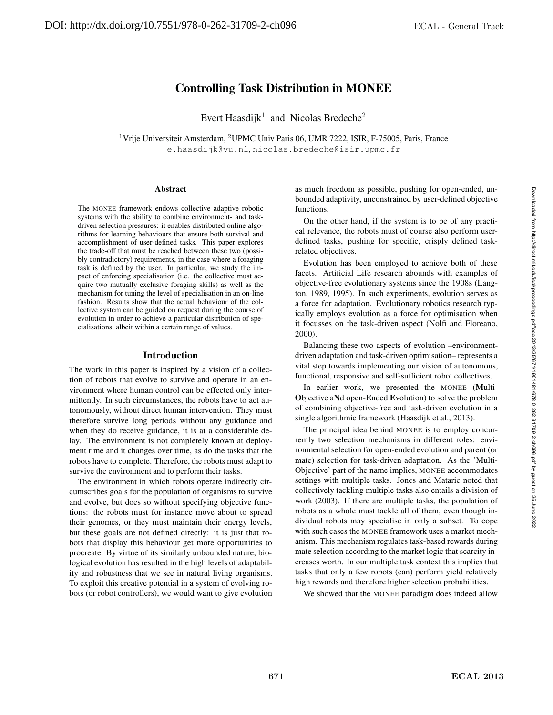# Controlling Task Distribution in MONEE

Evert Haasdijk<sup>1</sup> and Nicolas Bredeche<sup>2</sup>

<sup>1</sup>Vrije Universiteit Amsterdam, <sup>2</sup>UPMC Univ Paris 06, UMR 7222, ISIR, F-75005, Paris, France e.haasdijk@vu.nl, nicolas.bredeche@isir.upmc.fr

#### Abstract

The MONEE framework endows collective adaptive robotic systems with the ability to combine environment- and taskdriven selection pressures: it enables distributed online algorithms for learning behaviours that ensure both survival and accomplishment of user-defined tasks. This paper explores the trade-off that must be reached between these two (possibly contradictory) requirements, in the case where a foraging task is defined by the user. In particular, we study the impact of enforcing specialisation (i.e. the collective must acquire two mutually exclusive foraging skills) as well as the mechanism for tuning the level of specialisation in an on-line fashion. Results show that the actual behaviour of the collective system can be guided on request during the course of evolution in order to achieve a particular distribution of specialisations, albeit within a certain range of values.

#### Introduction

The work in this paper is inspired by a vision of a collection of robots that evolve to survive and operate in an environment where human control can be effected only intermittently. In such circumstances, the robots have to act autonomously, without direct human intervention. They must therefore survive long periods without any guidance and when they do receive guidance, it is at a considerable delay. The environment is not completely known at deployment time and it changes over time, as do the tasks that the robots have to complete. Therefore, the robots must adapt to survive the environment and to perform their tasks.

The environment in which robots operate indirectly circumscribes goals for the population of organisms to survive and evolve, but does so without specifying objective functions: the robots must for instance move about to spread their genomes, or they must maintain their energy levels, but these goals are not defined directly: it is just that robots that display this behaviour get more opportunities to procreate. By virtue of its similarly unbounded nature, biological evolution has resulted in the high levels of adaptability and robustness that we see in natural living organisms. To exploit this creative potential in a system of evolving robots (or robot controllers), we would want to give evolution as much freedom as possible, pushing for open-ended, unbounded adaptivity, unconstrained by user-defined objective functions.

On the other hand, if the system is to be of any practical relevance, the robots must of course also perform userdefined tasks, pushing for specific, crisply defined taskrelated objectives.

Evolution has been employed to achieve both of these facets. Artificial Life research abounds with examples of objective-free evolutionary systems since the 1908s (Langton, 1989, 1995). In such experiments, evolution serves as a force for adaptation. Evolutionary robotics research typically employs evolution as a force for optimisation when it focusses on the task-driven aspect (Nolfi and Floreano, 2000).

Balancing these two aspects of evolution –environmentdriven adaptation and task-driven optimisation– represents a vital step towards implementing our vision of autonomous, functional, responsive and self-sufficient robot collectives.

In earlier work, we presented the MONEE (Multi-Objective aNd open-Ended Evolution) to solve the problem of combining objective-free and task-driven evolution in a single algorithmic framework (Haasdijk et al., 2013).

The principal idea behind MONEE is to employ concurrently two selection mechanisms in different roles: environmental selection for open-ended evolution and parent (or mate) selection for task-driven adaptation. As the 'Multi-Objective' part of the name implies, MONEE accommodates settings with multiple tasks. Jones and Mataric noted that collectively tackling multiple tasks also entails a division of work (2003). If there are multiple tasks, the population of robots as a whole must tackle all of them, even though individual robots may specialise in only a subset. To cope with such cases the MONEE framework uses a market mechanism. This mechanism regulates task-based rewards during mate selection according to the market logic that scarcity increases worth. In our multiple task context this implies that tasks that only a few robots (can) perform yield relatively high rewards and therefore higher selection probabilities.

We showed that the MONEE paradigm does indeed allow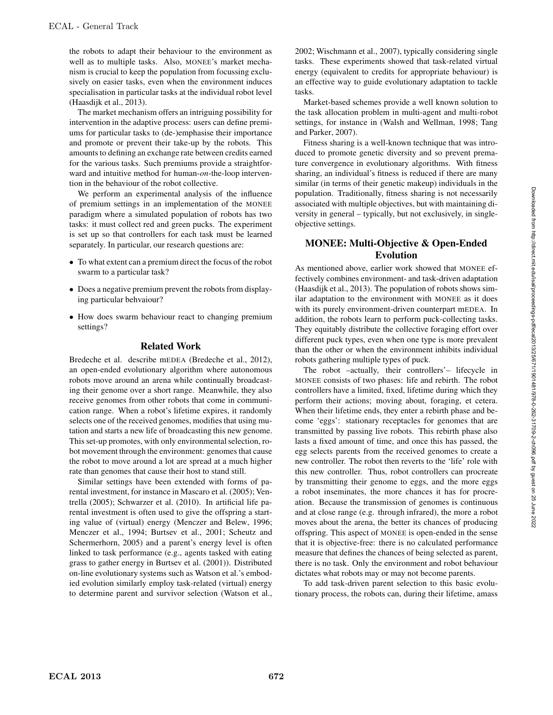the robots to adapt their behaviour to the environment as well as to multiple tasks. Also, MONEE's market mechanism is crucial to keep the population from focussing exclusively on easier tasks, even when the environment induces specialisation in particular tasks at the individual robot level (Haasdijk et al., 2013).

The market mechanism offers an intriguing possibility for intervention in the adaptive process: users can define premiums for particular tasks to (de-)emphasise their importance and promote or prevent their take-up by the robots. This amounts to defining an exchange rate between credits earned for the various tasks. Such premiums provide a straightforward and intuitive method for human-*on*-the-loop intervention in the behaviour of the robot collective.

We perform an experimental analysis of the influence of premium settings in an implementation of the MONEE paradigm where a simulated population of robots has two tasks: it must collect red and green pucks. The experiment is set up so that controllers for each task must be learned separately. In particular, our research questions are:

- To what extent can a premium direct the focus of the robot swarm to a particular task?
- Does a negative premium prevent the robots from displaying particular behvaiour?
- How does swarm behaviour react to changing premium settings?

### Related Work

Bredeche et al. describe mEDEA (Bredeche et al., 2012), an open-ended evolutionary algorithm where autonomous robots move around an arena while continually broadcasting their genome over a short range. Meanwhile, they also receive genomes from other robots that come in communication range. When a robot's lifetime expires, it randomly selects one of the received genomes, modifies that using mutation and starts a new life of broadcasting this new genome. This set-up promotes, with only environmental selection, robot movement through the environment: genomes that cause the robot to move around a lot are spread at a much higher rate than genomes that cause their host to stand still.

Similar settings have been extended with forms of parental investment, for instance in Mascaro et al. (2005); Ventrella (2005); Schwarzer et al. (2010). In artificial life parental investment is often used to give the offspring a starting value of (virtual) energy (Menczer and Belew, 1996; Menczer et al., 1994; Burtsev et al., 2001; Scheutz and Schermerhorn, 2005) and a parent's energy level is often linked to task performance (e.g., agents tasked with eating grass to gather energy in Burtsev et al. (2001)). Distributed on-line evolutionary systems such as Watson et al.'s embodied evolution similarly employ task-related (virtual) energy to determine parent and survivor selection (Watson et al., 2002; Wischmann et al., 2007), typically considering single tasks. These experiments showed that task-related virtual energy (equivalent to credits for appropriate behaviour) is an effective way to guide evolutionary adaptation to tackle tasks.

Market-based schemes provide a well known solution to the task allocation problem in multi-agent and multi-robot settings, for instance in (Walsh and Wellman, 1998; Tang and Parker, 2007).

Fitness sharing is a well-known technique that was introduced to promote genetic diversity and so prevent premature convergence in evolutionary algorithms. With fitness sharing, an individual's fitness is reduced if there are many similar (in terms of their genetic makeup) individuals in the population. Traditionally, fitness sharing is not necessarily associated with multiple objectives, but with maintaining diversity in general – typically, but not exclusively, in singleobjective settings.

# MONEE: Multi-Objective & Open-Ended Evolution

As mentioned above, earlier work showed that MONEE effectively combines environment- and task-driven adaptation (Haasdijk et al., 2013). The population of robots shows similar adaptation to the environment with MONEE as it does with its purely environment-driven counterpart mEDEA. In addition, the robots learn to perform puck-collecting tasks. They equitably distribute the collective foraging effort over different puck types, even when one type is more prevalent than the other or when the environment inhibits individual robots gathering multiple types of puck.

The robot –actually, their controllers'– lifecycle in MONEE consists of two phases: life and rebirth. The robot controllers have a limited, fixed, lifetime during which they perform their actions; moving about, foraging, et cetera. When their lifetime ends, they enter a rebirth phase and become 'eggs': stationary receptacles for genomes that are transmitted by passing live robots. This rebirth phase also lasts a fixed amount of time, and once this has passed, the egg selects parents from the received genomes to create a new controller. The robot then reverts to the 'life' role with this new controller. Thus, robot controllers can procreate by transmitting their genome to eggs, and the more eggs a robot inseminates, the more chances it has for procreation. Because the transmission of genomes is continuous and at close range (e.g. through infrared), the more a robot moves about the arena, the better its chances of producing offspring. This aspect of MONEE is open-ended in the sense that it is objective-free: there is no calculated performance measure that defines the chances of being selected as parent, there is no task. Only the environment and robot behaviour dictates what robots may or may not become parents.

To add task-driven parent selection to this basic evolutionary process, the robots can, during their lifetime, amass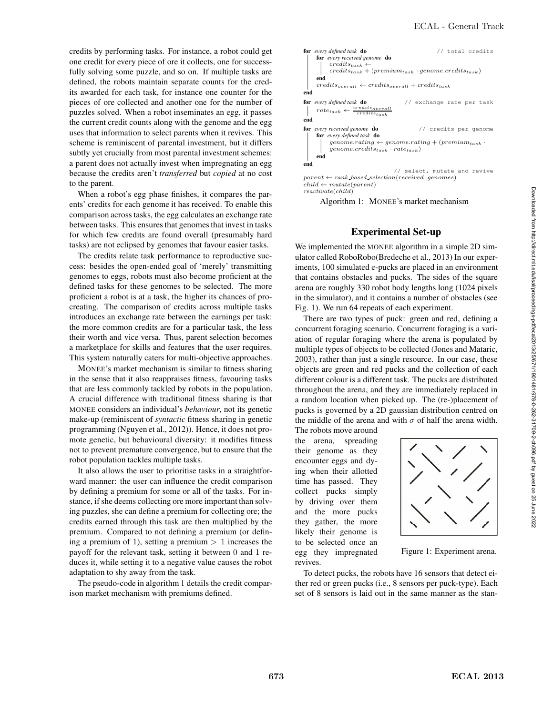credits by performing tasks. For instance, a robot could get one credit for every piece of ore it collects, one for successfully solving some puzzle, and so on. If multiple tasks are defined, the robots maintain separate counts for the credits awarded for each task, for instance one counter for the pieces of ore collected and another one for the number of puzzles solved. When a robot inseminates an egg, it passes the current credit counts along with the genome and the egg uses that information to select parents when it revives. This scheme is reminiscent of parental investment, but it differs subtly yet crucially from most parental investment schemes: a parent does not actually invest when impregnating an egg because the credits aren't *transferred* but *copied* at no cost to the parent.

When a robot's egg phase finishes, it compares the parents' credits for each genome it has received. To enable this comparison across tasks, the egg calculates an exchange rate between tasks. This ensures that genomes that invest in tasks for which few credits are found overall (presumably hard tasks) are not eclipsed by genomes that favour easier tasks.

The credits relate task performance to reproductive success: besides the open-ended goal of 'merely' transmitting genomes to eggs, robots must also become proficient at the defined tasks for these genomes to be selected. The more proficient a robot is at a task, the higher its chances of procreating. The comparison of credits across multiple tasks introduces an exchange rate between the earnings per task: the more common credits are for a particular task, the less their worth and vice versa. Thus, parent selection becomes a marketplace for skills and features that the user requires. This system naturally caters for multi-objective approaches.

MONEE's market mechanism is similar to fitness sharing in the sense that it also reappraises fitness, favouring tasks that are less commonly tackled by robots in the population. A crucial difference with traditional fitness sharing is that MONEE considers an individual's *behaviour*, not its genetic make-up (reminiscent of *syntactic* fitness sharing in genetic programming (Nguyen et al., 2012)). Hence, it does not promote genetic, but behavioural diversity: it modifies fitness not to prevent premature convergence, but to ensure that the robot population tackles multiple tasks.

It also allows the user to prioritise tasks in a straightforward manner: the user can influence the credit comparison by defining a premium for some or all of the tasks. For instance, if she deems collecting ore more important than solving puzzles, she can define a premium for collecting ore; the credits earned through this task are then multiplied by the premium. Compared to not defining a premium (or defining a premium of 1), setting a premium  $> 1$  increases the payoff for the relevant task, setting it between 0 and 1 reduces it, while setting it to a negative value causes the robot adaptation to shy away from the task.

The pseudo-code in algorithm 1 details the credit comparison market mechanism with premiums defined.



Algorithm 1: MONEE's market mechanism

# Experimental Set-up

We implemented the MONEE algorithm in a simple 2D simulator called RoboRobo(Bredeche et al., 2013) In our experiments, 100 simulated e-pucks are placed in an environment that contains obstacles and pucks. The sides of the square arena are roughly 330 robot body lengths long (1024 pixels in the simulator), and it contains a number of obstacles (see Fig. 1). We run 64 repeats of each experiment.

There are two types of puck: green and red, defining a concurrent foraging scenario. Concurrent foraging is a variation of regular foraging where the arena is populated by multiple types of objects to be collected (Jones and Mataric, 2003), rather than just a single resource. In our case, these objects are green and red pucks and the collection of each different colour is a different task. The pucks are distributed throughout the arena, and they are immediately replaced in a random location when picked up. The (re-)placement of pucks is governed by a 2D gaussian distribution centred on the middle of the arena and with  $\sigma$  of half the arena width.

The robots move around the arena, spreading their genome as they encounter eggs and dying when their allotted time has passed. They collect pucks simply by driving over them and the more pucks they gather, the more likely their genome is to be selected once an egg they impregnated revives.



Figure 1: Experiment arena.

To detect pucks, the robots have 16 sensors that detect either red or green pucks (i.e., 8 sensors per puck-type). Each set of 8 sensors is laid out in the same manner as the stan-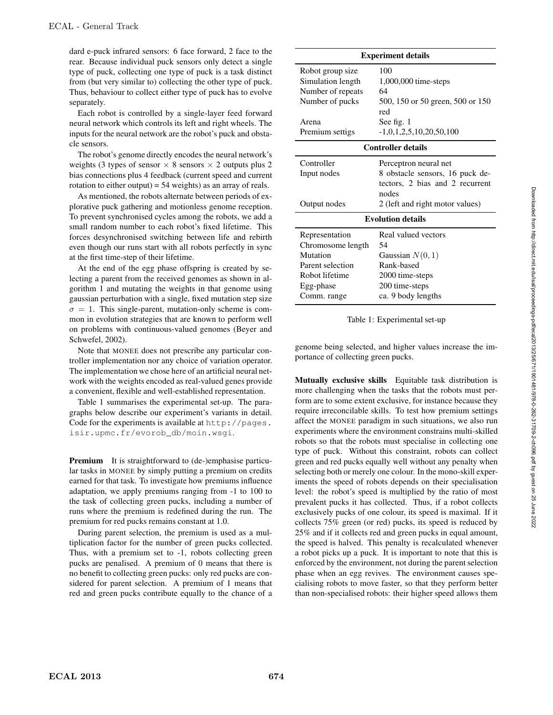dard e-puck infrared sensors: 6 face forward, 2 face to the rear. Because individual puck sensors only detect a single type of puck, collecting one type of puck is a task distinct from (but very similar to) collecting the other type of puck. Thus, behaviour to collect either type of puck has to evolve separately.

Each robot is controlled by a single-layer feed forward neural network which controls its left and right wheels. The inputs for the neural network are the robot's puck and obstacle sensors.

The robot's genome directly encodes the neural network's weights (3 types of sensor  $\times$  8 sensors  $\times$  2 outputs plus 2 bias connections plus 4 feedback (current speed and current rotation to either output) = 54 weights) as an array of reals.

As mentioned, the robots alternate between periods of explorative puck gathering and motionless genome reception. To prevent synchronised cycles among the robots, we add a small random number to each robot's fixed lifetime. This forces desynchronised switching between life and rebirth even though our runs start with all robots perfectly in sync at the first time-step of their lifetime.

At the end of the egg phase offspring is created by selecting a parent from the received genomes as shown in algorithm 1 and mutating the weights in that genome using gaussian perturbation with a single, fixed mutation step size  $\sigma = 1$ . This single-parent, mutation-only scheme is common in evolution strategies that are known to perform well on problems with continuous-valued genomes (Beyer and Schwefel, 2002).

Note that MONEE does not prescribe any particular controller implementation nor any choice of variation operator. The implementation we chose here of an artificial neural network with the weights encoded as real-valued genes provide a convenient, flexible and well-established representation.

Table 1 summarises the experimental set-up. The paragraphs below describe our experiment's variants in detail. Code for the experiments is available at http://pages. isir.upmc.fr/evorob\_db/moin.wsgi.

**Premium** It is straightforward to (de-)emphasise particular tasks in MONEE by simply putting a premium on credits earned for that task. To investigate how premiums influence adaptation, we apply premiums ranging from -1 to 100 to the task of collecting green pucks, including a number of runs where the premium is redefined during the run. The premium for red pucks remains constant at 1.0.

During parent selection, the premium is used as a multiplication factor for the number of green pucks collected. Thus, with a premium set to -1, robots collecting green pucks are penalised. A premium of 0 means that there is no benefit to collecting green pucks: only red pucks are considered for parent selection. A premium of 1 means that red and green pucks contribute equally to the chance of a

| <b>Experiment details</b> |                                          |
|---------------------------|------------------------------------------|
| Robot group size          | 100                                      |
| Simulation length         | 1,000,000 time-steps                     |
| Number of repeats         | 64                                       |
| Number of pucks           | 500, 150 or 50 green, 500 or 150         |
|                           | red                                      |
| Arena                     | See fig. 1                               |
| Premium settigs           | $-1,0,1,2,5,10,20,50,100$                |
| <b>Controller details</b> |                                          |
| Controller                | Perceptron neural net                    |
| Input nodes               | 8 obstacle sensors, 16 puck de-          |
|                           | tectors, 2 bias and 2 recurrent<br>nodes |
| Output nodes              | 2 (left and right motor values)          |
| <b>Evolution details</b>  |                                          |
| Representation            | Real valued vectors                      |
| Chromosome length         | 54                                       |
| Mutation                  | Gaussian $N(0, 1)$                       |
| Parent selection          | Rank-based                               |
| Robot lifetime            | 2000 time-steps                          |
| Egg-phase                 | 200 time-steps                           |
| Comm. range               | ca. 9 body lengths                       |

Table 1: Experimental set-up

genome being selected, and higher values increase the importance of collecting green pucks.

Mutually exclusive skills Equitable task distribution is more challenging when the tasks that the robots must perform are to some extent exclusive, for instance because they require irreconcilable skills. To test how premium settings affect the MONEE paradigm in such situations, we also run experiments where the environment constrains multi-skilled robots so that the robots must specialise in collecting one type of puck. Without this constraint, robots can collect green and red pucks equally well without any penalty when selecting both or merely one colour. In the mono-skill experiments the speed of robots depends on their specialisation level: the robot's speed is multiplied by the ratio of most prevalent pucks it has collected. Thus, if a robot collects exclusively pucks of one colour, its speed is maximal. If it collects 75% green (or red) pucks, its speed is reduced by 25% and if it collects red and green pucks in equal amount, the speed is halved. This penalty is recalculated whenever a robot picks up a puck. It is important to note that this is enforced by the environment, not during the parent selection phase when an egg revives. The environment causes specialising robots to move faster, so that they perform better than non-specialised robots: their higher speed allows them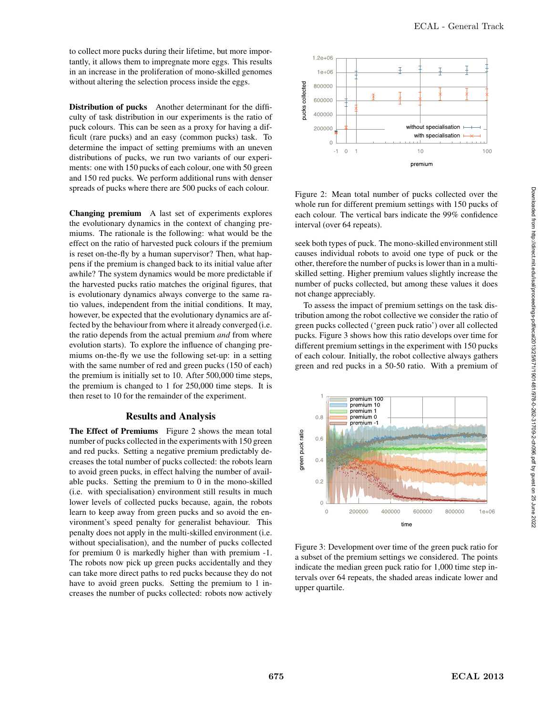to collect more pucks during their lifetime, but more importantly, it allows them to impregnate more eggs. This results in an increase in the proliferation of mono-skilled genomes without altering the selection process inside the eggs.

Distribution of pucks Another determinant for the difficulty of task distribution in our experiments is the ratio of puck colours. This can be seen as a proxy for having a difficult (rare pucks) and an easy (common pucks) task. To determine the impact of setting premiums with an uneven distributions of pucks, we run two variants of our experiments: one with 150 pucks of each colour, one with 50 green and 150 red pucks. We perform additional runs with denser spreads of pucks where there are 500 pucks of each colour.

Changing premium A last set of experiments explores the evolutionary dynamics in the context of changing premiums. The rationale is the following: what would be the effect on the ratio of harvested puck colours if the premium is reset on-the-fly by a human supervisor? Then, what happens if the premium is changed back to its initial value after awhile? The system dynamics would be more predictable if the harvested pucks ratio matches the original figures, that is evolutionary dynamics always converge to the same ratio values, independent from the initial conditions. It may, however, be expected that the evolutionary dynamics are affected by the behaviour from where it already converged (i.e. the ratio depends from the actual premium *and* from where evolution starts). To explore the influence of changing premiums on-the-fly we use the following set-up: in a setting with the same number of red and green pucks (150 of each) the premium is initially set to 10. After 500,000 time steps, the premium is changed to 1 for 250,000 time steps. It is then reset to 10 for the remainder of the experiment.

## Results and Analysis

The Effect of Premiums Figure 2 shows the mean total number of pucks collected in the experiments with 150 green and red pucks. Setting a negative premium predictably decreases the total number of pucks collected: the robots learn to avoid green pucks, in effect halving the number of available pucks. Setting the premium to 0 in the mono-skilled (i.e. with specialisation) environment still results in much lower levels of collected pucks because, again, the robots learn to keep away from green pucks and so avoid the environment's speed penalty for generalist behaviour. This penalty does not apply in the multi-skilled environment (i.e. without specialisation), and the number of pucks collected for premium 0 is markedly higher than with premium -1. The robots now pick up green pucks accidentally and they can take more direct paths to red pucks because they do not have to avoid green pucks. Setting the premium to 1 increases the number of pucks collected: robots now actively



Figure 2: Mean total number of pucks collected over the whole run for different premium settings with 150 pucks of each colour. The vertical bars indicate the 99% confidence interval (over 64 repeats).

seek both types of puck. The mono-skilled environment still causes individual robots to avoid one type of puck or the other, therefore the number of pucks is lower than in a multiskilled setting. Higher premium values slightly increase the number of pucks collected, but among these values it does not change appreciably.

To assess the impact of premium settings on the task distribution among the robot collective we consider the ratio of green pucks collected ('green puck ratio') over all collected pucks. Figure 3 shows how this ratio develops over time for different premium settings in the experiment with 150 pucks of each colour. Initially, the robot collective always gathers green and red pucks in a 50-50 ratio. With a premium of



Figure 3: Development over time of the green puck ratio for a subset of the premium settings we considered. The points indicate the median green puck ratio for 1,000 time step intervals over 64 repeats, the shaded areas indicate lower and upper quartile.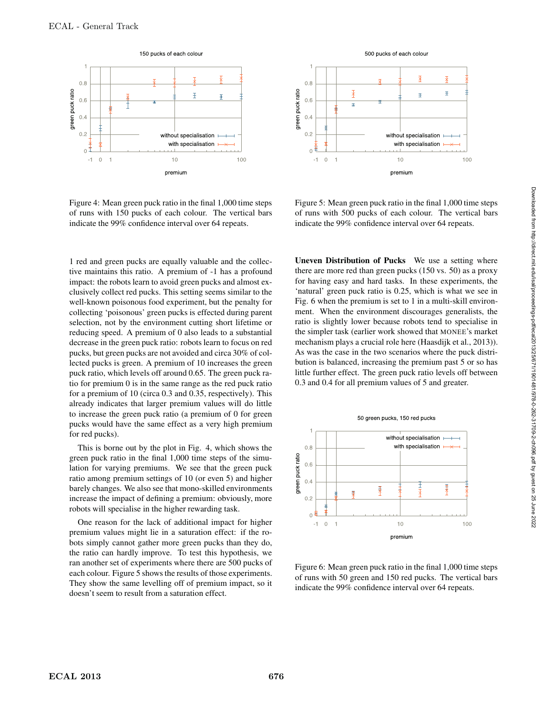

Figure 4: Mean green puck ratio in the final 1,000 time steps of runs with 150 pucks of each colour. The vertical bars indicate the 99% confidence interval over 64 repeats.

1 red and green pucks are equally valuable and the collective maintains this ratio. A premium of -1 has a profound impact: the robots learn to avoid green pucks and almost exclusively collect red pucks. This setting seems similar to the well-known poisonous food experiment, but the penalty for collecting 'poisonous' green pucks is effected during parent selection, not by the environment cutting short lifetime or reducing speed. A premium of 0 also leads to a substantial decrease in the green puck ratio: robots learn to focus on red pucks, but green pucks are not avoided and circa 30% of collected pucks is green. A premium of 10 increases the green puck ratio, which levels off around 0.65. The green puck ratio for premium 0 is in the same range as the red puck ratio for a premium of 10 (circa 0.3 and 0.35, respectively). This already indicates that larger premium values will do little to increase the green puck ratio (a premium of 0 for green pucks would have the same effect as a very high premium for red pucks).

This is borne out by the plot in Fig. 4, which shows the green puck ratio in the final 1,000 time steps of the simulation for varying premiums. We see that the green puck ratio among premium settings of 10 (or even 5) and higher barely changes. We also see that mono-skilled environments increase the impact of defining a premium: obviously, more robots will specialise in the higher rewarding task.

One reason for the lack of additional impact for higher premium values might lie in a saturation effect: if the robots simply cannot gather more green pucks than they do, the ratio can hardly improve. To test this hypothesis, we ran another set of experiments where there are 500 pucks of each colour. Figure 5 shows the results of those experiments. They show the same levelling off of premium impact, so it doesn't seem to result from a saturation effect.



Figure 5: Mean green puck ratio in the final 1,000 time steps of runs with 500 pucks of each colour. The vertical bars indicate the 99% confidence interval over 64 repeats.

Uneven Distribution of Pucks We use a setting where there are more red than green pucks (150 vs. 50) as a proxy for having easy and hard tasks. In these experiments, the 'natural' green puck ratio is 0.25, which is what we see in Fig. 6 when the premium is set to 1 in a multi-skill environment. When the environment discourages generalists, the ratio is slightly lower because robots tend to specialise in the simpler task (earlier work showed that MONEE's market mechanism plays a crucial role here (Haasdijk et al., 2013)). As was the case in the two scenarios where the puck distribution is balanced, increasing the premium past 5 or so has little further effect. The green puck ratio levels off between 0.3 and 0.4 for all premium values of 5 and greater.



Figure 6: Mean green puck ratio in the final 1,000 time steps of runs with 50 green and 150 red pucks. The vertical bars indicate the 99% confidence interval over 64 repeats.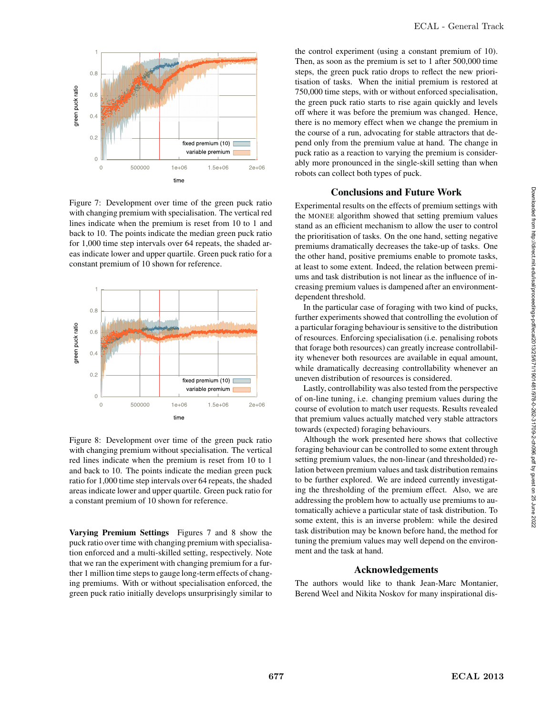

Figure 7: Development over time of the green puck ratio with changing premium with specialisation. The vertical red lines indicate when the premium is reset from 10 to 1 and back to 10. The points indicate the median green puck ratio for 1,000 time step intervals over 64 repeats, the shaded areas indicate lower and upper quartile. Green puck ratio for a constant premium of 10 shown for reference.



Figure 8: Development over time of the green puck ratio with changing premium without specialisation. The vertical red lines indicate when the premium is reset from 10 to 1 and back to 10. The points indicate the median green puck ratio for 1,000 time step intervals over 64 repeats, the shaded areas indicate lower and upper quartile. Green puck ratio for a constant premium of 10 shown for reference.

Varying Premium Settings Figures 7 and 8 show the puck ratio over time with changing premium with specialisation enforced and a multi-skilled setting, respectively. Note that we ran the experiment with changing premium for a further 1 million time steps to gauge long-term effects of changing premiums. With or without specialisation enforced, the green puck ratio initially develops unsurprisingly similar to the control experiment (using a constant premium of 10). Then, as soon as the premium is set to 1 after 500,000 time steps, the green puck ratio drops to reflect the new prioritisation of tasks. When the initial premium is restored at 750,000 time steps, with or without enforced specialisation, the green puck ratio starts to rise again quickly and levels off where it was before the premium was changed. Hence, there is no memory effect when we change the premium in the course of a run, advocating for stable attractors that depend only from the premium value at hand. The change in puck ratio as a reaction to varying the premium is considerably more pronounced in the single-skill setting than when robots can collect both types of puck.

### Conclusions and Future Work

Experimental results on the effects of premium settings with the MONEE algorithm showed that setting premium values stand as an efficient mechanism to allow the user to control the prioritisation of tasks. On the one hand, setting negative premiums dramatically decreases the take-up of tasks. One the other hand, positive premiums enable to promote tasks, at least to some extent. Indeed, the relation between premiums and task distribution is not linear as the influence of increasing premium values is dampened after an environmentdependent threshold.

In the particular case of foraging with two kind of pucks, further experiments showed that controlling the evolution of a particular foraging behaviour is sensitive to the distribution of resources. Enforcing specialisation (i.e. penalising robots that forage both resources) can greatly increase controllability whenever both resources are available in equal amount, while dramatically decreasing controllability whenever an uneven distribution of resources is considered.

Lastly, controllability was also tested from the perspective of on-line tuning, i.e. changing premium values during the course of evolution to match user requests. Results revealed that premium values actually matched very stable attractors towards (expected) foraging behaviours.

Although the work presented here shows that collective foraging behaviour can be controlled to some extent through setting premium values, the non-linear (and thresholded) relation between premium values and task distribution remains to be further explored. We are indeed currently investigating the thresholding of the premium effect. Also, we are addressing the problem how to actually use premiums to automatically achieve a particular state of task distribution. To some extent, this is an inverse problem: while the desired task distribution may be known before hand, the method for tuning the premium values may well depend on the environment and the task at hand.

### Acknowledgements

The authors would like to thank Jean-Marc Montanier, Berend Weel and Nikita Noskov for many inspirational dis